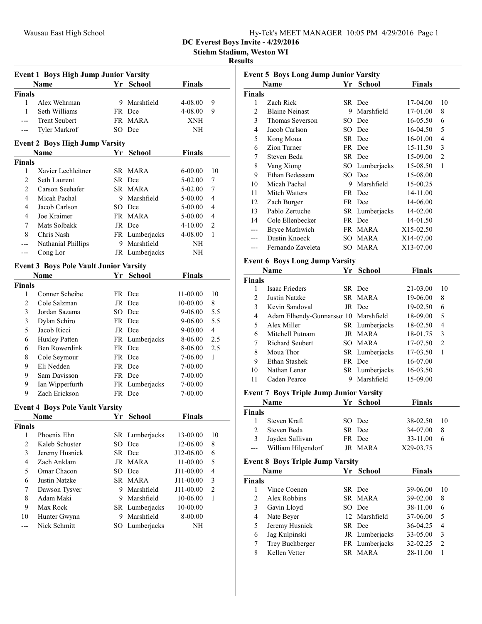Stiehm Stadium, Weston WI

#### Results

| <b>Event 1 Boys High Jump Junior Varsity</b> |                                               |    |                |                    |                |  |
|----------------------------------------------|-----------------------------------------------|----|----------------|--------------------|----------------|--|
|                                              | Name                                          |    | Yr School      | <b>Finals</b>      |                |  |
| <b>Finals</b>                                |                                               |    |                |                    |                |  |
| 1                                            | Alex Wehrman                                  | 9. | Marshfield     | 4-08.00            | 9              |  |
| 1                                            | Seth Williams                                 |    | FR Dce         | 4-08.00            | 9              |  |
| ---                                          | <b>Trent Seubert</b>                          |    | FR MARA        | XNH                |                |  |
| ---                                          | Tyler Markrof                                 |    | SO Dce         | NH                 |                |  |
|                                              | <b>Event 2 Boys High Jump Varsity</b>         |    |                |                    |                |  |
|                                              | Name                                          | Yr | School         | <b>Finals</b>      |                |  |
| <b>Finals</b>                                |                                               |    |                |                    |                |  |
| 1                                            | Xavier Lechleitner                            |    | SR MARA        | 6-00.00            | 10             |  |
| $\mathfrak{2}$                               | Seth Laurent                                  |    | SR Dce         | 5-02.00            | 7              |  |
| $\overline{2}$                               | Carson Seehafer                               |    | SR MARA        | 5-02.00            | 7              |  |
| $\overline{4}$                               | Micah Pachal                                  | 9. | Marshfield     |                    | 4              |  |
| 4                                            | Jacob Carlson                                 |    | SO Dce         | 5-00.00<br>5-00.00 | 4              |  |
| 4                                            | Joe Kraimer                                   |    | FR MARA        |                    | 4              |  |
|                                              |                                               |    |                | 5-00.00            |                |  |
| 7                                            | Mats Solbakk                                  |    | JR Dce         | $4 - 10.00$        | 2              |  |
| 8                                            | Chris Nash                                    |    | FR Lumberjacks | 4-08.00            | 1              |  |
| $---$                                        | Nathanial Phillips                            | 9  | Marshfield     | NH                 |                |  |
| ---                                          | Cong Lor                                      |    | JR Lumberjacks | NH                 |                |  |
|                                              | <b>Event 3 Boys Pole Vault Junior Varsity</b> |    |                |                    |                |  |
|                                              | Name                                          | Yr | <b>School</b>  | <b>Finals</b>      |                |  |
| <b>Finals</b>                                |                                               |    |                |                    |                |  |
| 1                                            | Conner Scheibe                                |    | FR Dce         | 11-00.00           | 10             |  |
| $\overline{c}$                               | Cole Salzman                                  |    | JR Dce         | 10-00.00           | 8              |  |
| 3                                            | Jordan Sazama                                 |    | SO Dce         | 9-06.00            | 5.5            |  |
| 3                                            | Dylan Schiro                                  |    | FR Dce         | 9-06.00            | 5.5            |  |
| 5                                            | Jacob Ricci                                   |    | JR Dce         | 9-00.00            | 4              |  |
| 6                                            | Huxley Patten                                 |    | FR Lumberjacks | 8-06.00            | 2.5            |  |
| 6                                            | Ben Rowerdink                                 |    | FR Dce         | 8-06.00            | 2.5            |  |
| 8                                            | Cole Seymour                                  |    | FR Dce         | 7-06.00            | 1              |  |
| 9                                            | Eli Nedden                                    |    | FR Dce         | 7-00.00            |                |  |
| 9                                            | Sam Davisson                                  |    | FR Dce         | 7-00.00            |                |  |
| 9                                            | Ian Wipperfurth                               |    | FR Lumberjacks | 7-00.00            |                |  |
| 9                                            | Zach Erickson                                 |    | FR Dce         | 7-00.00            |                |  |
|                                              |                                               |    |                |                    |                |  |
|                                              | <b>Event 4 Boys Pole Vault Varsity</b>        |    |                |                    |                |  |
|                                              | <b>Name</b>                                   | Yr | <b>School</b>  | Finals             |                |  |
| <b>Finals</b>                                |                                               |    |                |                    |                |  |
| 1                                            | Phoenix Ehn                                   |    | SR Lumberjacks | 13-00.00           | 10             |  |
| $\overline{c}$                               | Kaleb Schuster                                |    | SO Dce         | 12-06.00           | 8              |  |
| 3                                            | Jeremy Husnick                                |    | SR Dce         | J12-06.00          | 6              |  |
| 4                                            | Zach Anklam                                   |    | JR MARA        | 11-00.00           | 5              |  |
| 5                                            | Omar Chacon                                   |    | SO Dce         | J11-00.00          | $\overline{4}$ |  |
| 6                                            | Justin Natzke                                 |    | SR MARA        | J11-00.00          | 3              |  |
| 7                                            | Dawson Tysver                                 | 9. | Marshfield     | J11-00.00          | $\overline{2}$ |  |
| 8                                            | Adam Maki                                     |    | 9 Marshfield   | 10-06.00           | 1              |  |
| 9                                            | Max Rock                                      |    | SR Lumberjacks | 10-00.00           |                |  |
| 10                                           | Hunter Gwynn                                  |    | 9 Marshfield   | 8-00.00            |                |  |
| ---                                          | Nick Schmitt                                  | SO | Lumberjacks    | NΗ                 |                |  |
|                                              |                                               |    |                |                    |                |  |

| <b>Event 5 Boys Long Jump Junior Varsity</b> |                                                |    |                |               |                          |  |
|----------------------------------------------|------------------------------------------------|----|----------------|---------------|--------------------------|--|
|                                              | Name                                           |    | Yr School      | <b>Finals</b> |                          |  |
| <b>Finals</b>                                |                                                |    |                |               |                          |  |
| 1                                            | Zach Rick                                      |    | SR Dce         | 17-04.00      | 10                       |  |
| 2                                            | <b>Blaine Neinast</b>                          | 9  | Marshfield     | 17-01.00      | 8                        |  |
| 3                                            | Thomas Severson                                |    | SO Dce         | 16-05.50      | 6                        |  |
| 4                                            | Jacob Carlson                                  |    | SO Dce         | 16-04.50      | 5                        |  |
| 5                                            | Kong Moua                                      |    | SR Dce         | 16-01.00      | $\overline{4}$           |  |
| 6                                            | Zion Turner                                    |    | FR Dce         | 15-11.50      | 3                        |  |
| 7                                            | Steven Beda                                    |    | SR Dce         | 15-09.00      | $\overline{c}$           |  |
| 8                                            | Vang Xiong                                     |    | SO Lumberjacks | 15-08.50      | 1                        |  |
| 9                                            | Ethan Bedessem                                 |    | SO Dce         | 15-08.00      |                          |  |
| 10                                           | Micah Pachal                                   |    | 9 Marshfield   | 15-00.25      |                          |  |
| 11                                           | Mitch Watters                                  |    | FR Dce         | 14-11.00      |                          |  |
| 12                                           | Zach Burger                                    |    | FR Dce         | 14-06.00      |                          |  |
| 13                                           | Pablo Zertuche                                 |    | SR Lumberjacks | 14-02.00      |                          |  |
| 14                                           | Cole Ellenbecker                               |    | FR Dce         | 14-01.50      |                          |  |
| ---                                          | Bryce Mathwich                                 |    | FR MARA        | X15-02.50     |                          |  |
|                                              | Dustin Knoeck                                  |    |                |               |                          |  |
| ---                                          | Fernando Zaveleta                              |    | SO MARA        | X14-07.00     |                          |  |
| ---                                          |                                                | SO | MARA           | X13-07.00     |                          |  |
|                                              | <b>Event 6 Boys Long Jump Varsity</b>          |    |                |               |                          |  |
|                                              | Name                                           | Yr | <b>School</b>  | <b>Finals</b> |                          |  |
| <b>Finals</b>                                |                                                |    |                |               |                          |  |
| 1                                            | <b>Isaac Frieders</b>                          |    | SR Dce         | 21-03.00      | 10                       |  |
| 2                                            | Justin Natzke                                  |    | SR MARA        | 19-06.00      | 8                        |  |
| 3                                            | Kevin Sandoval                                 |    | JR Dce         | 19-02.50      | 6                        |  |
| 4                                            | Adam Elhendy-Gunnarsso: 10 Marshfield          |    |                | 18-09.00      | 5                        |  |
| 5                                            | Alex Miller                                    |    | SR Lumberjacks | 18-02.50      | 4                        |  |
| 6                                            | Mitchell Putnam                                |    | JR MARA        | 18-01.75      | 3                        |  |
| 7                                            | <b>Richard Seubert</b>                         |    | SO MARA        | 17-07.50      | $\overline{2}$           |  |
| 8                                            | Moua Thor                                      |    | SR Lumberjacks | 17-03.50      | 1                        |  |
| 9                                            | Ethan Stashek                                  |    | FR Dce         | 16-07.00      |                          |  |
| 10                                           | Nathan Lenar                                   |    | SR Lumberjacks | 16-03.50      |                          |  |
| 11                                           | Caden Pearce                                   | 9  | Marshfield     | 15-09.00      |                          |  |
|                                              |                                                |    |                |               |                          |  |
|                                              | <b>Event 7 Boys Triple Jump Junior Varsity</b> |    |                |               |                          |  |
|                                              | Name                                           |    | Yr School      | <b>Finals</b> |                          |  |
| <b>Finals</b>                                |                                                |    |                |               |                          |  |
|                                              | 1 Steven Kraft                                 |    | SO Dce         | 38-02.50      | 10                       |  |
| 2                                            | Steven Beda                                    |    | SR Dce         | 34-07.00      | 8                        |  |
| 3                                            | Jayden Sullivan                                |    | FR Dce         | 33-11.00      | 6                        |  |
| ---                                          | William Hilgendorf                             |    | JR MARA        | X29-03.75     |                          |  |
|                                              | <b>Event 8 Boys Triple Jump Varsity</b>        |    |                |               |                          |  |
|                                              | Name                                           |    | Yr School      | <b>Finals</b> |                          |  |
| <b>Finals</b>                                |                                                |    |                |               |                          |  |
| 1                                            | Vince Coenen                                   |    | SR Dce         | 39-06.00      | 10                       |  |
| $\overline{c}$                               | Alex Robbins                                   | SR | MARA           | 39-02.00      | 8                        |  |
| 3                                            | Gavin Lloyd                                    | SO | Dce            | 38-11.00      | 6                        |  |
| 4                                            | Nate Beyer                                     | 12 | Marshfield     | 37-06.00      | 5                        |  |
| 5                                            | Jeremy Husnick                                 |    | SR Dce         | 36-04.25      | $\overline{\mathcal{L}}$ |  |
|                                              |                                                |    |                |               | 3                        |  |
| 6                                            | Jag Kulpinski                                  |    | JR Lumberjacks | 33-05.00      | $\overline{c}$           |  |
| 7                                            | Trey Buchberger<br>Kellen Vetter               |    | FR Lumberjacks | 32-02.25      |                          |  |
| 8                                            |                                                |    | SR MARA        | 28-11.00      | $\mathbf{1}$             |  |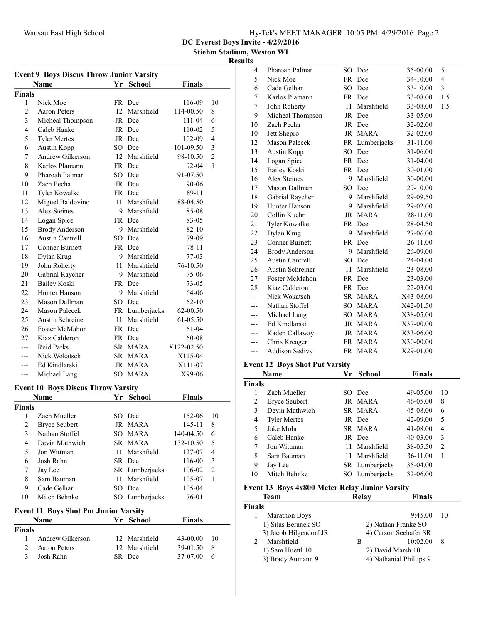DC Everest Boys Invite - 4/29/2016

Stiehm Stadium, Weston WI

## Result

| <b>Event 9 Boys Discus Throw Junior Varsity</b> |                                                   |      |                |               |                          |  |
|-------------------------------------------------|---------------------------------------------------|------|----------------|---------------|--------------------------|--|
|                                                 | Name                                              | Yr   | <b>School</b>  | <b>Finals</b> |                          |  |
| Finals                                          |                                                   |      |                |               |                          |  |
| 1                                               | Nick Moe                                          |      | FR Dce         | 116-09        | 10                       |  |
| $\overline{c}$                                  | <b>Aaron Peters</b>                               | 12   | Marshfield     | 114-00.50     | 8                        |  |
| 3                                               | Micheal Thompson                                  |      | JR Dce         | 111-04        | 6                        |  |
| 4                                               | Caleb Hanke                                       |      | JR Dce         | 110-02        | 5                        |  |
| 5                                               | <b>Tyler Mertes</b>                               |      | JR Dce         | 102-09        | 4                        |  |
| 6                                               | Austin Kopp                                       |      | SO Dce         | 101-09.50     | 3                        |  |
| 7                                               | Andrew Gilkerson                                  |      | 12 Marshfield  | 98-10.50      | $\overline{c}$           |  |
| 8                                               | Karlos Plamann                                    |      | FR Dce         | 92-04         | 1                        |  |
| 9                                               | Pharoah Palmar                                    |      | SO Dce         | 91-07.50      |                          |  |
| 10                                              | Zach Pecha                                        |      | JR Dce         | 90-06         |                          |  |
| 11                                              | Tyler Kowalke                                     |      | FR Dce         | 89-11         |                          |  |
| 12                                              | Miguel Baldovino                                  | 11 - | Marshfield     | 88-04.50      |                          |  |
| 13                                              | Alex Steines                                      | 9    | Marshfield     | 85-08         |                          |  |
| 14                                              | Logan Spice                                       |      | FR Dce         | 83-05         |                          |  |
| 15                                              | <b>Brody Anderson</b>                             |      | 9 Marshfield   | 82-10         |                          |  |
| 16                                              | Austin Cantrell                                   |      | SO Dce         | 79-09         |                          |  |
| 17                                              | <b>Conner Burnett</b>                             |      | FR Dce         | 78-11         |                          |  |
| 18                                              | Dylan Krug                                        |      | 9 Marshfield   | 77-03         |                          |  |
| 19                                              | John Roherty                                      |      | 11 Marshfield  | 76-10.50      |                          |  |
| 20                                              | Gabrial Raycher                                   |      | 9 Marshfield   | 75-06         |                          |  |
| 21                                              | <b>Bailey Koski</b>                               |      | FR Dce         | 73-05         |                          |  |
| 22                                              | Hunter Hanson                                     |      | 9 Marshfield   | 64-06         |                          |  |
| 23                                              | Mason Dallman                                     |      | SO Dce         | $62 - 10$     |                          |  |
| 24                                              | Mason Palecek                                     |      | FR Lumberjacks | 62-00.50      |                          |  |
| 25                                              | Austin Schreiner                                  | 11   | Marshfield     | 61-05.50      |                          |  |
| 26                                              | Foster McMahon                                    |      | FR Dce         | 61-04         |                          |  |
| 27                                              | Kiaz Calderon                                     |      | FR Dce         | 60-08         |                          |  |
| ---                                             | <b>Reid Parks</b>                                 |      | SR MARA        | X122-02.50    |                          |  |
| ---                                             | Nick Wokatsch                                     |      | SR MARA        | X115-04       |                          |  |
|                                                 | Ed Kindlarski                                     | JR   | <b>MARA</b>    | X111-07       |                          |  |
|                                                 | Michael Lang                                      |      | SO MARA        | X99-06        |                          |  |
|                                                 |                                                   |      |                |               |                          |  |
|                                                 | <b>Event 10 Boys Discus Throw Varsity</b><br>Name |      | <b>School</b>  | <b>Finals</b> |                          |  |
|                                                 |                                                   | Υr   |                |               |                          |  |
| Finals<br>1                                     | Zach Mueller                                      |      | SO Dce         | 152-06        | 10                       |  |
| $\overline{\mathbf{c}}$                         | <b>Bryce Seubert</b>                              |      | JR MARA        | 145-11        | 8                        |  |
| 3                                               | Nathan Stoffel                                    | SO   | MARA           | 140-04.50     | 6                        |  |
| 4                                               | Devin Mathwich                                    |      | SR MARA        | 132-10.50     | 5                        |  |
| 5                                               | Jon Wittman                                       | 11   | Marshfield     | 127-07        | $\overline{\mathcal{L}}$ |  |
| 6                                               | Josh Rahn                                         |      | SR Dce         | 116-00        | 3                        |  |
| 7                                               | Jay Lee                                           |      | SR Lumberjacks | 106-02        | $\overline{2}$           |  |
| 8                                               | Sam Bauman                                        | 11   | Marshfield     | 105-07        | $\mathbf{1}$             |  |
| 9                                               | Cade Gelhar                                       |      | SO Dce         | 105-04        |                          |  |
| 10                                              | Mitch Behnke                                      |      | SO Lumberjacks | 76-01         |                          |  |
|                                                 |                                                   |      |                |               |                          |  |
|                                                 | <b>Event 11 Boys Shot Put Junior Varsity</b>      |      |                |               |                          |  |
|                                                 | Name                                              | Yr   | <b>School</b>  | <b>Finals</b> |                          |  |
| <b>Finals</b>                                   |                                                   |      |                |               |                          |  |
| 1                                               | Andrew Gilkerson                                  |      | 12 Marshfield  | 43-00.00      | 10                       |  |
| 2                                               | Aaron Peters                                      |      | 12 Marshfield  | 39-01.50      | 8                        |  |
| 3                                               | Josh Rahn                                         |      | SR Dce         | 37-07.00      | 6                        |  |

| ılts               |                                                |      |                |               |                |
|--------------------|------------------------------------------------|------|----------------|---------------|----------------|
| 4                  | Pharoah Palmar                                 |      | SO Dce         | 35-00.00      | 5              |
| 5                  | Nick Moe                                       |      | FR Dce         | 34-10.00      | 4              |
| 6                  | Cade Gelhar                                    |      | SO Dce         | 33-10.00      | 3              |
| 7                  | Karlos Plamann                                 |      | FR Dce         | 33-08.00      | 1.5            |
| 7                  | John Roherty                                   |      | 11 Marshfield  | 33-08.00      | 1.5            |
| 9                  | Micheal Thompson                               |      | JR Dce         | 33-05.00      |                |
| 10                 | Zach Pecha                                     |      | JR Dce         | 32-02.00      |                |
| 10                 | Jett Shepro                                    |      | JR MARA        | 32-02.00      |                |
| 12                 | <b>Mason Palecek</b>                           |      | FR Lumberjacks | 31-11.00      |                |
| 13                 | Austin Kopp                                    | SO.  | Dce            | 31-06.00      |                |
| 14                 | Logan Spice                                    |      | FR Dce         | 31-04.00      |                |
| 15                 | <b>Bailey Koski</b>                            |      | FR Dce         | 30-01.00      |                |
| 16                 | <b>Alex Steines</b>                            | 9    | Marshfield     | 30-00.00      |                |
| 17                 | Mason Dallman                                  | SO.  | Dce            | 29-10.00      |                |
| 18                 | Gabrial Raycher                                |      | 9 Marshfield   | 29-09.50      |                |
| 19                 | Hunter Hanson                                  | 9    | Marshfield     | 29-02.00      |                |
| 20                 | Collin Kuehn                                   |      | JR MARA        | 28-11.00      |                |
| 21                 | <b>Tyler Kowalke</b>                           |      | FR Dce         | 28-04.50      |                |
| 22                 | Dylan Krug                                     | 9.   | Marshfield     | 27-06.00      |                |
| 23                 | <b>Conner Burnett</b>                          |      | FR Dce         | 26-11.00      |                |
| 24                 | <b>Brody Anderson</b>                          | 9.   | Marshfield     | 26-09.00      |                |
| 25                 | <b>Austin Cantrell</b>                         |      | SO Dce         | 24-04.00      |                |
| 26                 | Austin Schreiner                               | 11-  | Marshfield     | 23-08.00      |                |
| 27                 | Foster McMahon                                 |      | FR Dce         | 23-03.00      |                |
| 28                 | Kiaz Calderon                                  |      | FR Dce         | 22-03.00      |                |
| ---                | Nick Wokatsch                                  |      | SR MARA        | X43-08.00     |                |
| ---                | Nathan Stoffel                                 |      | SO MARA        | X42-01.50     |                |
| ---                | Michael Lang                                   |      | SO MARA        | X38-05.00     |                |
|                    | Ed Kindlarski                                  |      | JR MARA        | X37-00.00     |                |
|                    | Kaden Callaway                                 |      | JR MARA        | X33-06.00     |                |
| ---                | Chris Kreager                                  |      | FR MARA        | X30-00.00     |                |
| ---                | <b>Addison Sedivy</b>                          |      | FR MARA        | X29-01.00     |                |
|                    | <b>Event 12 Boys Shot Put Varsity</b>          |      |                |               |                |
|                    | Name                                           | Yr   | <b>School</b>  | <b>Finals</b> |                |
| <b>Finals</b>      |                                                |      |                |               |                |
| 1                  | Zach Mueller                                   | SO.  | Dce            | 49-05.00      | 10             |
| $\overline{c}$     | <b>Bryce Seubert</b>                           |      | JR MARA        | 46-05.00      | 8              |
| 3                  | Devin Mathwich                                 | SR   | <b>MARA</b>    | 45-08.00      | 6              |
| 4                  | <b>Tyler Mertes</b>                            |      | JR Dce         | 42-09.00      | 5              |
| 5                  | Jake Mohr                                      | SR   | <b>MARA</b>    | 41-08.00      | 4              |
| 6                  | Caleb Hanke                                    |      | JR Dce         | 40-03.00      | 3              |
| 7                  | Jon Wittman                                    | 11-  | Marshfield     | 38-05.50      | $\overline{c}$ |
| 8                  | Sam Bauman                                     | 11 - | Marshfield     | 36-11.00      | 1              |
| 9                  | Jay Lee                                        |      | SR Lumberjacks | 35-04.00      |                |
| 10                 | Mitch Behnke                                   |      | SO Lumberjacks | 32-06.00      |                |
|                    | Event 13 Boys 4x800 Meter Relay Junior Varsity |      |                |               |                |
|                    | Team                                           |      | <b>Relay</b>   | Finals        |                |
| <b>Finals</b><br>1 | <b>Marathon Boys</b>                           |      |                | 9:45.00       | 10             |
|                    |                                                |      |                |               |                |

| <b>Marathon Boys</b>   |   | 9:45.00                 | - 10 |
|------------------------|---|-------------------------|------|
| 1) Silas Beranek SO    |   | 2) Nathan Franke SO     |      |
| 3) Jacob Hilgendorf JR |   | 4) Carson Seehafer SR   |      |
| Marshfield             | в | 10:02.00                | - 8  |
| 1) Sam Huettl 10       |   | 2) David Marsh 10       |      |
| 3) Brady Aumann 9      |   | 4) Nathanial Phillips 9 |      |
|                        |   |                         |      |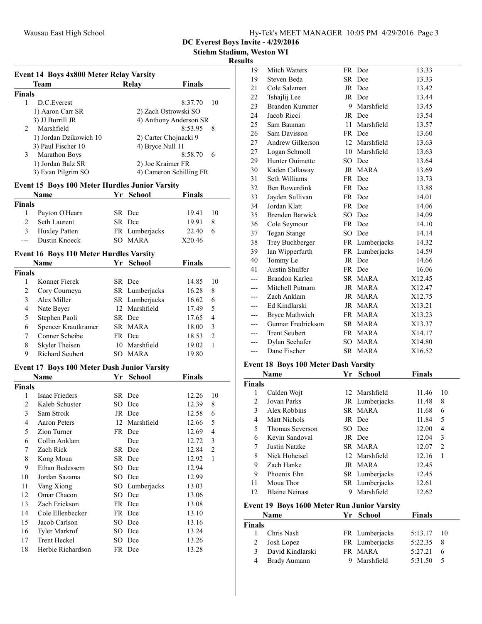| Hy-Tek's MEET MANAGER 10:05 PM 4/29/2016 Page 3 |  |  |  |
|-------------------------------------------------|--|--|--|
|-------------------------------------------------|--|--|--|

Stiehm Stadium, Weston WI

### Results

|                | Team                                                  |      | Relay                   | Finals  |    |
|----------------|-------------------------------------------------------|------|-------------------------|---------|----|
| <b>Finals</b>  |                                                       |      |                         |         |    |
| 1              | D.C. Everest                                          |      |                         | 8:37.70 | 10 |
|                | 1) Aaron Carr SR                                      |      | 2) Zach Ostrowski SO    |         |    |
|                | 3) JJ Burrill JR                                      |      | 4) Anthony Anderson SR  |         |    |
| $\mathfrak{D}$ | Marshfield                                            |      |                         | 8:53.95 | 8  |
|                | 1) Jordan Dzikowich 10                                |      | 2) Carter Chojnacki 9   |         |    |
|                | 3) Paul Fischer 10                                    |      | 4) Bryce Null 11        |         |    |
| 3              | Marathon Boys                                         |      |                         | 8:58.70 | 6  |
|                | 1) Jordan Balz SR                                     |      | 2) Joe Kraimer FR       |         |    |
|                | 3) Evan Pilgrim SO                                    |      | 4) Cameron Schilling FR |         |    |
|                | <b>Event 15 Boys 100 Meter Hurdles Junior Varsity</b> |      |                         |         |    |
|                | Name                                                  | Yr - | <b>School</b>           | Finals  |    |
| <b>Finals</b>  |                                                       |      |                         |         |    |
| 1              | Payton O'Hearn                                        |      | SR Dce                  | 19.41   | 10 |
| 2              | Seth Laurent                                          |      | SR Dce                  | 19.91   | 8  |
| 3              | Huxley Patten                                         |      | FR Lumberjacks          | 22.40   | 6  |
|                | Dustin Knoeck                                         |      | SO MARA                 | X20.46  |    |
|                | <b>Event 16 Boys 110 Meter Hurdles Varsity</b>        |      |                         |         |    |
|                |                                                       |      |                         |         |    |

|               | Name                   |     | Yr School      | <b>Finals</b> |               |
|---------------|------------------------|-----|----------------|---------------|---------------|
| <b>Finals</b> |                        |     |                |               |               |
|               | Konner Fierek          |     | SR Dce         | 14.85         | 10            |
| 2             | Cory Courneya          |     | SR Lumberjacks | 16.28         | 8             |
| 3             | Alex Miller            |     | SR Lumberjacks | 16.62         | 6             |
| 4             | Nate Beyer             |     | 12 Marshfield  | 17.49         | 5             |
| 5             | Stephen Paoli          |     | SR Dce         | 17.65         | 4             |
| 6             | Spencer Krautkramer    |     | SR MARA        | 18.00         | 3             |
| 7             | Conner Scheibe         |     | FR Dce         | 18.53         | $\mathcal{L}$ |
| 8             | Skyler Theisen         | 10  | Marshfield     | 19.02         |               |
| 9             | <b>Richard Seubert</b> | SO. | <b>MARA</b>    | 19.80         |               |

### Event 17 Boys 100 Meter Dash Junior Varsity

| Name          |                      | Yr  | School         | Finals |    |
|---------------|----------------------|-----|----------------|--------|----|
| <b>Finals</b> |                      |     |                |        |    |
| 1             | Isaac Frieders       |     | SR Dce         | 12.26  | 10 |
| 2             | Kaleb Schuster       |     | SO Dce         | 12.39  | 8  |
| 3             | Sam Stroik           |     | JR Dce         | 12.58  | 6  |
| 4             | Aaron Peters         | 12  | Marshfield     | 12.66  | 5  |
| 5             | Zion Turner          |     | FR Dce         | 12.69  | 4  |
| 6             | Collin Anklam        |     | Dce            | 12.72  | 3  |
| 7             | Zach Rick            |     | SR Dce         | 12.84  | 2  |
| 8             | Kong Moua            |     | SR Dce         | 12.92  | 1  |
| 9             | Ethan Bedessem       |     | SO Dce         | 12.94  |    |
| 10            | Jordan Sazama        | SO. | Dce            | 12.99  |    |
| 11            | Vang Xiong           |     | SO Lumberjacks | 13.03  |    |
| 12            | Omar Chacon          |     | SO Dce         | 13.06  |    |
| 13            | Zach Erickson        |     | FR Dce         | 13.08  |    |
| 14            | Cole Ellenbecker     |     | FR Dce         | 13.10  |    |
| 15            | Jacob Carlson        |     | SO Dce         | 13.16  |    |
| 16            | <b>Tyler Markrof</b> | SO. | Dce            | 13.24  |    |
| 17            | <b>Trent Heckel</b>  | SO  | Dce            | 13.26  |    |
| 18            | Herbie Richardson    |     | FR Dce         | 13.28  |    |

| แจ  |                        |    |                |        |
|-----|------------------------|----|----------------|--------|
| 19  | <b>Mitch Watters</b>   |    | FR Dce         | 13.33  |
| 19  | Steven Beda            |    | SR Dce         | 13.33  |
| 21  | Cole Salzman           |    | JR Dce         | 13.42  |
| 22  | Tshajlij Lee           |    | JR Dce         | 13.44  |
| 23  | <b>Branden Kummer</b>  | 9  | Marshfield     | 13.45  |
| 24  | Jacob Ricci            |    | JR Dce         | 13.54  |
| 25  | Sam Bauman             |    | 11 Marshfield  | 13.57  |
| 26  | Sam Davisson           |    | FR Dce         | 13.60  |
| 27  | Andrew Gilkerson       |    | 12 Marshfield  | 13.63  |
| 27  | Logan Schmoll          | 10 | Marshfield     | 13.63  |
| 29  | Hunter Ouimette        | SO | Dce            | 13.64  |
| 30  | Kaden Callaway         |    | JR MARA        | 13.69  |
| 31  | Seth Williams          |    | FR Dce         | 13.73  |
| 32  | Ben Rowerdink          |    | FR Dce         | 13.88  |
| 33  | Jayden Sullivan        |    | FR Dce         | 14.01  |
| 34  | Jordan Klatt           |    | FR Dce         | 14.06  |
| 35  | <b>Brenden Barwick</b> |    | SO Dce         | 14.09  |
| 36  | Cole Seymour           |    | FR Dce         | 14.10  |
| 37  | Tegan Stange           |    | SO Dce         | 14.14  |
| 38  | Trey Buchberger        |    | FR Lumberjacks | 14.32  |
| 39  | Ian Wipperfurth        |    | FR Lumberjacks | 14.59  |
| 40  | Tommy Le               |    | JR Dce         | 14.66  |
| 41  | Austin Shulfer         |    | FR Dce         | 16.06  |
|     | Brandon Karlen         |    | SR MARA        | X12.45 |
| --- | Mitchell Putnam        |    | JR MARA        | X12.47 |
| --- | Zach Anklam            |    | JR MARA        | X12.75 |
| --- | Ed Kindlarski          | JR | MARA           | X13.21 |
| --- | Bryce Mathwich         |    | FR MARA        | X13.23 |
| --- | Gunnar Fredrickson     |    | SR MARA        | X13.37 |
| --- | <b>Trent Seubert</b>   |    | FR MARA        | X14.17 |
| --- | Dylan Seehafer         | SO | <b>MARA</b>    | X14.80 |
| --- | Dane Fischer           |    | SR MARA        | X16.52 |
|     |                        |    |                |        |

## Event 18 Boys 100 Meter Dash Varsity

|               | Name                                               | Yr | <b>School</b>  | <b>Finals</b> |    |
|---------------|----------------------------------------------------|----|----------------|---------------|----|
| <b>Finals</b> |                                                    |    |                |               |    |
| 1             | Calden Wojt                                        |    | 12 Marshfield  | 11.46         | 10 |
| 2             | Jovan Parks                                        |    | JR Lumberjacks | 11.48         | 8  |
| 3             | Alex Robbins                                       |    | SR MARA        | 11.68         | 6  |
| 4             | <b>Matt Nichols</b>                                |    | JR Dce         | 11.84         | 5  |
| 5             | Thomas Severson                                    |    | SO Dce         | 12.00         | 4  |
| 6             | Kevin Sandoval                                     |    | JR Dce         | 12.04         | 3  |
| 7             | Justin Natzke                                      |    | SR MARA        | 12.07         | 2  |
| 8             | Nick Hoheisel                                      |    | 12 Marshfield  | 12.16         | 1  |
| 9             | Zach Hanke                                         |    | JR MARA        | 12.45         |    |
| 9             | Phoenix Ehn                                        |    | SR Lumberjacks | 12.45         |    |
| 11            | Moua Thor                                          |    | SR Lumberjacks | 12.61         |    |
| 12            | <b>Blaine Neinast</b>                              | 9  | Marshfield     | 12.62         |    |
|               | <b>Event 19 Boys 1600 Meter Run Junior Varsity</b> |    |                |               |    |
|               | Name                                               | Yr | <b>School</b>  | <b>Finals</b> |    |
| <b>Finals</b> |                                                    |    |                |               |    |
| 1             | Chris Nash                                         |    | FR Lumberjacks | 5:13.17       | 10 |
| 2             | Josh Lopez                                         |    | FR Lumberjacks | 5:22.35       | 8  |
| 3             | David Kindlarski                                   |    | FR MARA        | 5:27.21       | 6  |
| 4             | Brady Aumann                                       | 9  | Marshfield     | 5:31.50       | 5  |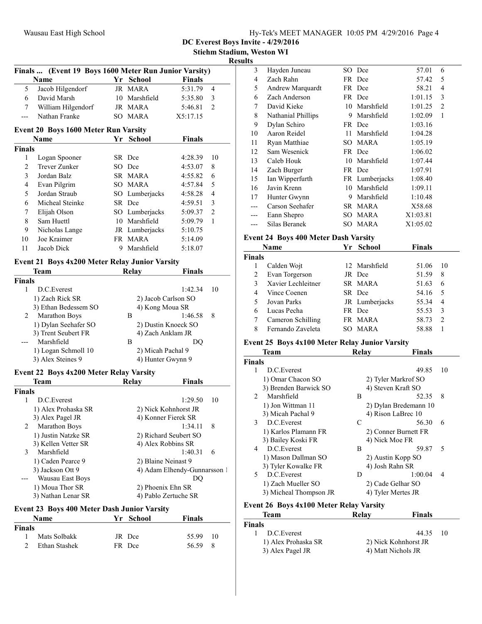| Hy-Tek's MEET MANAGER 10:05 PM 4/29/2016 Page 4 |  |  |
|-------------------------------------------------|--|--|
|                                                 |  |  |

Stiehm Stadium, Weston WI

#### Results

|                | Finals  (Event 19 Boys 1600 Meter Run Junior Varsity) |  |                     |                              |    |  |  |
|----------------|-------------------------------------------------------|--|---------------------|------------------------------|----|--|--|
|                | Name                                                  |  | Yr School           | <b>Finals</b>                |    |  |  |
| 5              | Jacob Hilgendorf                                      |  | JR MARA             | 5:31.79                      | 4  |  |  |
| 6              | David Marsh                                           |  | 10 Marshfield       | 5:35.80                      | 3  |  |  |
| 7              | William Hilgendorf                                    |  | JR MARA             | 5:46.81                      | 2  |  |  |
| ---            | Nathan Franke                                         |  | SO MARA             | X5:17.15                     |    |  |  |
|                | <b>Event 20 Boys 1600 Meter Run Varsity</b>           |  |                     |                              |    |  |  |
|                | Name                                                  |  | Yr School           | <b>Finals</b>                |    |  |  |
| <b>Finals</b>  |                                                       |  |                     |                              |    |  |  |
| 1              | Logan Spooner                                         |  | SR Dce              | 4:28.39                      | 10 |  |  |
| $\mathfrak{2}$ | Trever Zunker                                         |  | SO Dce              | 4:53.07                      | 8  |  |  |
| 3              | Jordan Balz                                           |  | SR MARA             | 4:55.82                      | 6  |  |  |
| 4              | Evan Pilgrim                                          |  | SO MARA             | 4:57.84                      | 5  |  |  |
| 5              | Jordan Straub                                         |  | SO Lumberjacks      | 4:58.28                      | 4  |  |  |
| 6              | Micheal Steinke                                       |  | SR Dce              | 4:59.51                      | 3  |  |  |
| 7              | Elijah Olson                                          |  | SO Lumberjacks      | 5:09.37                      | 2  |  |  |
| 8              | Sam Huettl                                            |  | 10 Marshfield       | 5:09.79                      | 1  |  |  |
| 9              | Nicholas Lange                                        |  | JR Lumberjacks      | 5:10.75                      |    |  |  |
| 10             | Joe Kraimer                                           |  | FR MARA             | 5:14.09                      |    |  |  |
| 11             | Jacob Dick                                            |  | 9 Marshfield        | 5:18.07                      |    |  |  |
|                | <b>Event 21 Boys 4x200 Meter Relay Junior Varsity</b> |  |                     |                              |    |  |  |
|                | Team                                                  |  | <b>Relay</b>        | <b>Finals</b>                |    |  |  |
| <b>Finals</b>  |                                                       |  |                     |                              |    |  |  |
| 1              | D.C.Everest                                           |  |                     | 1:42.34                      | 10 |  |  |
|                | 1) Zach Rick SR                                       |  | 2) Jacob Carlson SO |                              |    |  |  |
|                | 3) Ethan Bedessem SO                                  |  | 4) Kong Moua SR     |                              |    |  |  |
| 2              | <b>Marathon Boys</b>                                  |  | В                   | 1:46.58                      | 8  |  |  |
|                | 1) Dylan Seehafer SO                                  |  |                     | 2) Dustin Knoeck SO          |    |  |  |
|                | 3) Trent Seubert FR                                   |  | 4) Zach Anklam JR   |                              |    |  |  |
|                | Marshfield                                            |  | B                   | DQ                           |    |  |  |
|                | 1) Logan Schmoll 10                                   |  | 2) Micah Pachal 9   |                              |    |  |  |
|                | 3) Alex Steines 9                                     |  | 4) Hunter Gwynn 9   |                              |    |  |  |
|                | Event 22 Boys 4x200 Meter Relay Varsity               |  |                     |                              |    |  |  |
|                | Team                                                  |  | Relay               | <b>Finals</b>                |    |  |  |
| <b>Finals</b>  |                                                       |  |                     |                              |    |  |  |
| 1              | D.C.Everest                                           |  |                     | 1:29.50                      | 10 |  |  |
|                | 1) Alex Prohaska SR                                   |  |                     | 2) Nick Kohnhorst JR         |    |  |  |
|                | 3) Alex Pagel JR                                      |  | 4) Konner Fierek SR |                              |    |  |  |
| 2              | Marathon Boys                                         |  |                     | 1:34.11                      | 8  |  |  |
|                | 1) Justin Natzke SR                                   |  |                     | 2) Richard Seubert SO        |    |  |  |
|                | 3) Kellen Vetter SR                                   |  | 4) Alex Robbins SR  |                              |    |  |  |
| 3              | Marshfield                                            |  |                     | 1:40.31                      | 6  |  |  |
|                | 1) Caden Pearce 9                                     |  | 2) Blaine Neinast 9 |                              |    |  |  |
|                | 3) Jackson Ott 9                                      |  |                     | 4) Adam Elhendy-Gunnarsson 1 |    |  |  |
|                | Wausau East Boys                                      |  |                     | DQ                           |    |  |  |
|                | 1) Moua Thor SR                                       |  | 2) Phoenix Ehn SR   |                              |    |  |  |
|                | 3) Nathan Lenar SR                                    |  |                     | 4) Pablo Zertuche SR         |    |  |  |
|                | <b>Event 23 Roys 400 Motor Doch Junior Varsity</b>    |  |                     |                              |    |  |  |

#### Event 23 Boys 400 Meter Dash Junior Varsity

|               | <b>Name</b>   | Yr School | <b>Finals</b> |  |
|---------------|---------------|-----------|---------------|--|
| <b>Finals</b> |               |           |               |  |
|               | Mats Solbakk  | JR Dce    | 55.99 10      |  |
|               | Ethan Stashek | FR Dce    | 56.59 8       |  |

| 3   | Hayden Juneau      |     | SO Dce         | 57.01    | 6              |
|-----|--------------------|-----|----------------|----------|----------------|
| 4   | Zach Rahn          |     | FR Dce         | 57.42    | 5              |
| 5   | Andrew Marquardt   |     | FR Dce         | 58.21    | 4              |
| 6   | Zach Anderson      |     | FR Dce         | 1:01.15  | 3              |
| 7   | David Kieke        | 10  | Marshfield     | 1:01.25  | $\overline{c}$ |
| 8   | Nathanial Phillips | 9   | Marshfield     | 1:02.09  | 1              |
| 9   | Dylan Schiro       |     | FR Dce         | 1:03.16  |                |
| 10  | Aaron Reidel       | 11  | Marshfield     | 1:04.28  |                |
| 11  | Ryan Matthiae      | SO. | <b>MARA</b>    | 1:05.19  |                |
| 12  | Sam Wesenick       |     | FR Dce         | 1:06.02  |                |
| 13  | Caleb Houk         | 10  | Marshfield     | 1:07.44  |                |
| 14  | Zach Burger        |     | FR Dce         | 1:07.91  |                |
| 15  | Ian Wipperfurth    |     | FR Lumberjacks | 1:08.40  |                |
| 16  | Javin Krenn        | 10  | Marshfield     | 1:09.11  |                |
| 17  | Hunter Gwynn       | 9   | Marshfield     | 1:10.48  |                |
| --- | Carson Seehafer    |     | SR MARA        | X58.68   |                |
| --- | Eann Shepro        | SO. | MARA           | X1:03.81 |                |
|     | Silas Beranek      | SO. | <b>MARA</b>    | X1:05.02 |                |
|     |                    |     |                |          |                |

## Event 24 Boys 400 Meter Dash Varsity

|               | Name               | Yr School      | <b>Finals</b> |                |
|---------------|--------------------|----------------|---------------|----------------|
| <b>Finals</b> |                    |                |               |                |
|               | Calden Wojt        | 12 Marshfield  | 51.06         | 10             |
| 2             | Evan Torgerson     | JR Dce         | 51.59         | 8              |
|               | Xavier Lechleitner | SR MARA        | 51.63         | 6              |
| 4             | Vince Coenen       | SR Dce         | 54.16         | 5              |
| 5             | Jovan Parks        | JR Lumberjacks | 55.34         | 4              |
| 6             | Lucas Pecha        | FR Dce         | 55.53         | 3              |
|               | Cameron Schilling  | FR MARA        | 58.73         | $\overline{c}$ |
| 8             | Fernando Zaveleta  | SO MARA        | 58.88         |                |

## Event 25 Boys 4x100 Meter Relay Junior Varsity

|                | <b>Team</b>                                                                                                                                                             | Relay | <b>Finals</b>         |    |
|----------------|-------------------------------------------------------------------------------------------------------------------------------------------------------------------------|-------|-----------------------|----|
| <b>Finals</b>  |                                                                                                                                                                         |       |                       |    |
| 1              | D.C.Everest                                                                                                                                                             |       | 49.85                 | 10 |
|                | 1) Omar Chacon SO                                                                                                                                                       |       | 2) Tyler Markrof SO   |    |
|                | 3) Brenden Barwick SO                                                                                                                                                   |       | 4) Steven Kraft SO    |    |
| $\mathfrak{D}$ | Marshfield                                                                                                                                                              | B     | 52.35                 | 8  |
|                | 1) Jon Wittman 11                                                                                                                                                       |       | 2) Dylan Bredemann 10 |    |
|                | 3) Micah Pachal 9                                                                                                                                                       |       | 4) Rison LaBrec 10    |    |
| 3              | D.C. Everest                                                                                                                                                            | C     | 56.30                 | 6  |
|                | 1) Karlos Plamann FR                                                                                                                                                    |       | 2) Conner Burnett FR  |    |
|                | 3) Bailey Koski FR                                                                                                                                                      |       | 4) Nick Moe FR        |    |
| 4              | D.C. Everest                                                                                                                                                            | B     | 59.87                 | 5  |
|                | 1) Mason Dallman SO                                                                                                                                                     |       | 2) Austin Kopp SO     |    |
|                | 3) Tyler Kowalke FR                                                                                                                                                     |       | 4) Josh Rahn SR       |    |
| 5              | D.C. Everest                                                                                                                                                            | D     | 1:00.04               | 4  |
|                | 1) Zach Mueller SO                                                                                                                                                      |       | 2) Cade Gelhar SO     |    |
|                | 3) Micheal Thompson JR                                                                                                                                                  |       | 4) Tyler Mertes JR    |    |
| ю              | $\mathbf{A} \mathbf{A} \mathbf{A} \mathbf{B}$ and $\mathbf{A} \mathbf{A} \mathbf{A} \mathbf{A} \mathbf{B}$ and $\mathbf{B} \mathbf{A} \mathbf{B} \mathbf{A} \mathbf{B}$ |       |                       |    |

## Event 26 Boys 4x100 Meter Relay Varsity

| Team                | Relay                | Finals |      |
|---------------------|----------------------|--------|------|
| Finals              |                      |        |      |
| D.C. Everest<br>Ι.  |                      | 44.35  | - 10 |
| 1) Alex Prohaska SR | 2) Nick Kohnhorst JR |        |      |
| 3) Alex Pagel JR    | 4) Matt Nichols JR   |        |      |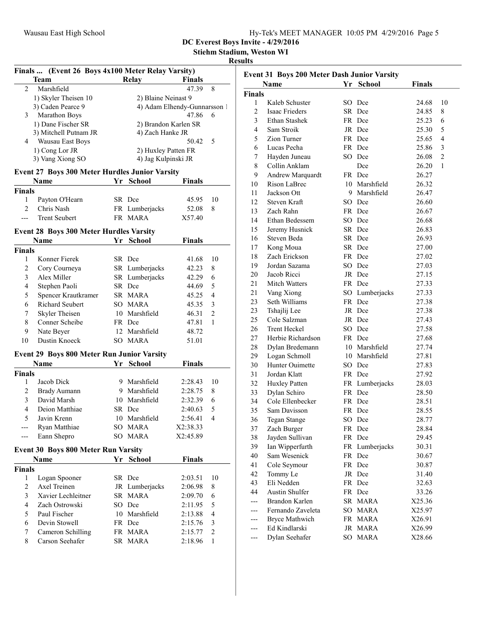Stiehm Stadium, Weston WI

### Results

| Finals  (Event 26 Boys 4x100 Meter Relay Varsity) |                                                       |    |                         |                              |                         |  |
|---------------------------------------------------|-------------------------------------------------------|----|-------------------------|------------------------------|-------------------------|--|
|                                                   | <b>Team</b>                                           |    | Relay                   | Finals                       |                         |  |
| $\overline{c}$                                    | Marshfield                                            |    |                         | 47.39                        | 8                       |  |
|                                                   | 1) Skyler Theisen 10                                  |    | 2) Blaine Neinast 9     |                              |                         |  |
|                                                   | 3) Caden Pearce 9                                     |    |                         | 4) Adam Elhendy-Gunnarsson 1 |                         |  |
| 3                                                 | Marathon Boys                                         |    |                         | 47.86                        | 6                       |  |
|                                                   | 1) Dane Fischer SR                                    |    | 2) Brandon Karlen SR    |                              |                         |  |
|                                                   | 3) Mitchell Putnam JR                                 |    | 4) Zach Hanke JR        |                              |                         |  |
|                                                   | 4 Wausau East Boys                                    |    |                         | 50.42                        | 5                       |  |
|                                                   | 1) Cong Lor JR                                        |    | 2) Huxley Patten FR     |                              |                         |  |
|                                                   | 3) Vang Xiong SO                                      |    | 4) Jag Kulpinski JR     |                              |                         |  |
|                                                   | <b>Event 27 Boys 300 Meter Hurdles Junior Varsity</b> |    |                         |                              |                         |  |
|                                                   | Name                                                  |    | Yr School               | <b>Finals</b>                |                         |  |
| <b>Finals</b>                                     |                                                       |    |                         |                              |                         |  |
| 1                                                 | Payton O'Hearn                                        |    | SR Dce                  | 45.95                        | 10                      |  |
| 2                                                 | Chris Nash                                            |    | FR Lumberjacks          | 52.08                        | 8                       |  |
| ---                                               | <b>Trent Seubert</b>                                  |    | FR MARA                 | X57.40                       |                         |  |
|                                                   | Event 28 Boys 300 Meter Hurdles Varsity               |    |                         |                              |                         |  |
|                                                   | <b>Name</b>                                           | Yr | <b>School</b>           | Finals                       |                         |  |
| <b>Finals</b>                                     |                                                       |    |                         |                              |                         |  |
| 1                                                 | Konner Fierek                                         |    | SR Dce                  | 41.68                        | 10                      |  |
| 2                                                 | Cory Courneya                                         |    | SR Lumberjacks          | 42.23                        | 8                       |  |
| 3                                                 | Alex Miller                                           |    | SR Lumberjacks          | 42.29                        | 6                       |  |
| 4                                                 | Stephen Paoli                                         |    | SR Dce                  | 44.69                        | 5                       |  |
| 5                                                 | Spencer Krautkramer                                   |    | SR MARA                 | 45.25                        | $\overline{4}$          |  |
| 6                                                 | Richard Seubert                                       |    | SO MARA                 | 45.35                        | 3                       |  |
| 7                                                 | Skyler Theisen                                        |    | 10 Marshfield           | 46.31                        | $\overline{2}$          |  |
| 8                                                 | Conner Scheibe                                        |    |                         |                              |                         |  |
|                                                   |                                                       |    | FR Dce<br>12 Marshfield | 47.81                        | 1                       |  |
| 9<br>10                                           | Nate Beyer<br>Dustin Knoeck                           |    | SO MARA                 | 48.72                        |                         |  |
|                                                   |                                                       |    |                         | 51.01                        |                         |  |
|                                                   | <b>Event 29 Boys 800 Meter Run Junior Varsity</b>     |    |                         |                              |                         |  |
|                                                   | <b>Name</b>                                           | Yr | <b>School</b>           | Finals                       |                         |  |
| <b>Finals</b>                                     |                                                       |    |                         |                              |                         |  |
| 1                                                 | Jacob Dick                                            |    | 9 Marshfield            | 2:28.43                      | 10                      |  |
| 2                                                 | <b>Brady Aumann</b>                                   |    | 9 Marshfield            | 2:28.75                      | 8                       |  |
| 3                                                 | David Marsh                                           |    | 10 Marshfield           | 2:32.39                      | 6                       |  |
| 4                                                 | Deion Matthiae                                        |    | SR Dce                  | 2:40.63                      | 5                       |  |
| 5                                                 | Javin Krenn                                           |    | 10 Marshfield           | 2:56.41                      | $\overline{\mathbf{4}}$ |  |
|                                                   | Ryan Matthiae                                         |    | SO MARA                 | X2:38.33                     |                         |  |
| ---                                               | Eann Shepro                                           |    | SO MARA                 | X2:45.89                     |                         |  |
|                                                   | Event 30 Boys 800 Meter Run Varsity                   |    |                         |                              |                         |  |
|                                                   | Name                                                  | Yr | <b>School</b>           | <b>Finals</b>                |                         |  |
| <b>Finals</b>                                     |                                                       |    |                         |                              |                         |  |
| 1                                                 | Logan Spooner                                         |    | SR Dce                  | 2:03.51                      | 10                      |  |
| $\overline{2}$                                    | Axel Treinen                                          |    | JR Lumberjacks          | 2:06.98                      | 8                       |  |
| 3                                                 | Xavier Lechleitner                                    |    | SR MARA                 | 2:09.70                      | 6                       |  |
| 4                                                 | Zach Ostrowski                                        |    | SO Dce                  | 2:11.95                      | 5                       |  |
| 5                                                 | Paul Fischer                                          |    | 10 Marshfield           | 2:13.88                      | 4                       |  |
| 6                                                 | Devin Stowell                                         |    | FR Dce                  | 2:15.76                      | 3                       |  |
| 7                                                 | Cameron Schilling                                     |    | FR MARA                 | 2:15.77                      | $\overline{c}$          |  |
| 8                                                 | Carson Seehafer                                       |    | SR MARA                 | 2:18.96                      | 1                       |  |
|                                                   |                                                       |    |                         |                              |                         |  |

| Event 31 Boys 200 Meter Dash Junior Varsity |                       |  |                |               |                |  |
|---------------------------------------------|-----------------------|--|----------------|---------------|----------------|--|
|                                             | Name                  |  | Yr School      | <b>Finals</b> |                |  |
| <b>Finals</b>                               |                       |  |                |               |                |  |
| 1                                           | Kaleb Schuster        |  | SO Dce         | 24.68         | 10             |  |
| $\overline{2}$                              | Isaac Frieders        |  | SR Dce         | 24.85         | 8              |  |
| 3                                           | Ethan Stashek         |  | FR Dce         | 25.23         | 6              |  |
| $\overline{4}$                              | Sam Stroik            |  | JR Dce         | 25.30         | 5              |  |
| 5                                           | Zion Turner           |  | FR Dce         | 25.65         | 4              |  |
| 6                                           | Lucas Pecha           |  | FR Dce         | 25.86         | 3              |  |
| 7                                           | Hayden Juneau         |  | SO Dce         | 26.08         | $\overline{c}$ |  |
| 8                                           | Collin Anklam         |  | Dce            | 26.20         | 1              |  |
| 9                                           | Andrew Marquardt      |  | FR Dce         | 26.27         |                |  |
| 10                                          | Rison LaBrec          |  | 10 Marshfield  | 26.32         |                |  |
| 11                                          | Jackson Ott           |  | 9 Marshfield   | 26.47         |                |  |
| 12                                          | Steven Kraft          |  | SO Dce         | 26.60         |                |  |
| 13                                          | Zach Rahn             |  | FR Dce         | 26.67         |                |  |
| 14                                          | Ethan Bedessem        |  | SO Dce         | 26.68         |                |  |
| 15                                          | Jeremy Husnick        |  | SR Dce         | 26.83         |                |  |
| 16                                          | Steven Beda           |  | SR Dce         | 26.93         |                |  |
| 17                                          | Kong Moua             |  | SR Dce         | 27.00         |                |  |
| 18                                          | Zach Erickson         |  | FR Dce         | 27.02         |                |  |
| 19                                          | Jordan Sazama         |  | SO Dce         | 27.03         |                |  |
| 20                                          | Jacob Ricci           |  | JR Dce         | 27.15         |                |  |
| 21                                          | <b>Mitch Watters</b>  |  | FR Dce         | 27.33         |                |  |
| 21                                          | Vang Xiong            |  | SO Lumberjacks | 27.33         |                |  |
| 23                                          | Seth Williams         |  | FR Dce         | 27.38         |                |  |
| 23                                          | Tshajlij Lee          |  | JR Dce         | 27.38         |                |  |
| 25                                          | Cole Salzman          |  | JR Dce         | 27.43         |                |  |
| 26                                          | <b>Trent Heckel</b>   |  | SO Dce         | 27.58         |                |  |
| 27                                          | Herbie Richardson     |  | FR Dce         | 27.68         |                |  |
| 28                                          | Dylan Bredemann       |  | 10 Marshfield  | 27.74         |                |  |
| 29                                          | Logan Schmoll         |  | 10 Marshfield  | 27.81         |                |  |
| 30                                          | Hunter Ouimette       |  | SO Dce         | 27.83         |                |  |
| 31                                          | Jordan Klatt          |  | FR Dce         | 27.92         |                |  |
| 32                                          | Huxley Patten         |  | FR Lumberjacks | 28.03         |                |  |
| 33                                          | Dylan Schiro          |  | FR Dce         | 28.50         |                |  |
| 34                                          | Cole Ellenbecker      |  | FR Dce         | 28.51         |                |  |
| 35                                          | Sam Davisson          |  | FR Dce         | 28.55         |                |  |
| 36                                          | Tegan Stange          |  | SO Dce         | 28.77         |                |  |
| 37                                          | Zach Burger           |  | FR Dce         | 28.84         |                |  |
| 38                                          | Jayden Sullivan       |  | FR Dce         | 29.45         |                |  |
| 39                                          | Ian Wipperfurth       |  | FR Lumberjacks | 30.31         |                |  |
| 40                                          | Sam Wesenick          |  | FR Dce         | 30.67         |                |  |
| 41                                          | Cole Seymour          |  | FR Dce         | 30.87         |                |  |
| 42                                          | Tommy Le              |  | JR Dce         | 31.40         |                |  |
| 43                                          | Eli Nedden            |  | FR Dce         | 32.63         |                |  |
| 44                                          | Austin Shulfer        |  | FR Dce         | 33.26         |                |  |
| ---                                         | Brandon Karlen        |  | SR MARA        | X25.36        |                |  |
| ---                                         | Fernando Zaveleta     |  | SO MARA        | X25.97        |                |  |
| ---                                         | <b>Bryce Mathwich</b> |  | FR MARA        | X26.91        |                |  |
| ---                                         | Ed Kindlarski         |  | JR MARA        | X26.99        |                |  |
| ---                                         | Dylan Seehafer        |  | SO MARA        | X28.66        |                |  |